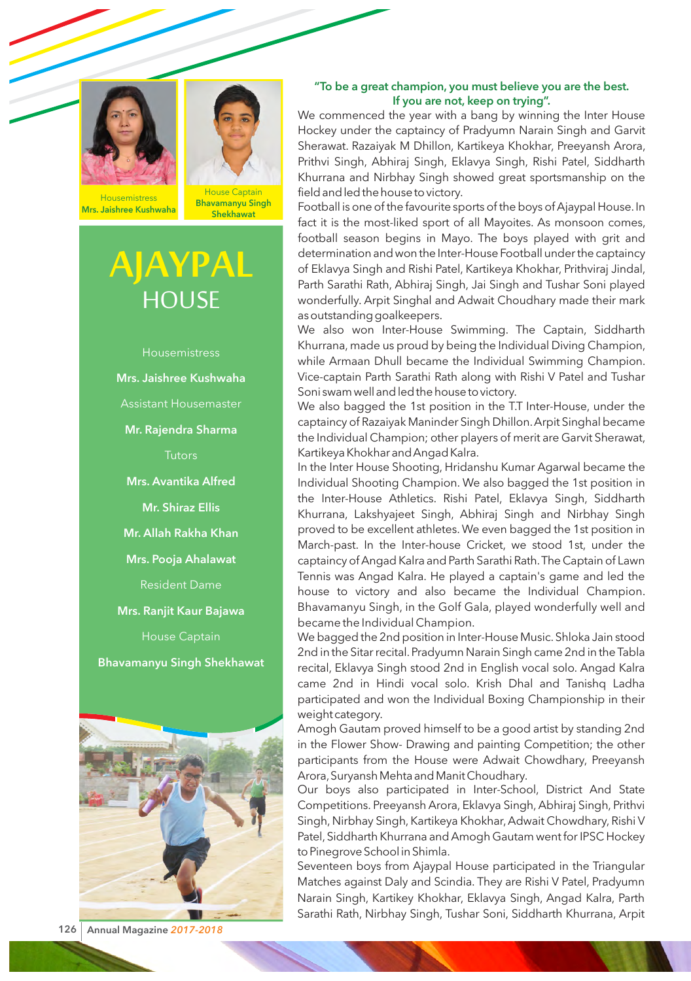



**Housemistress** Mrs. Jaishree Kushwaha

House Captain Bhavamanyu Singh **Shekhawat** 

## **AJAYPAL HOUSE**







## "To be a great champion, you must believe you are the best. If you are not, keep on trying".

We commenced the year with a bang by winning the Inter House Hockey under the captaincy of Pradyumn Narain Singh and Garvit Sherawat. Razaiyak M Dhillon, Kartikeya Khokhar, Preeyansh Arora, Prithvi Singh, Abhiraj Singh, Eklavya Singh, Rishi Patel, Siddharth Khurrana and Nirbhay Singh showed great sportsmanship on the field and led the house to victory.

Football is one of the favourite sports of the boys of Ajaypal House. In fact it is the most-liked sport of all Mayoites. As monsoon comes, football season begins in Mayo. The boys played with grit and determination and won the Inter-House Football under the captaincy of Eklavya Singh and Rishi Patel, Kartikeya Khokhar, Prithviraj Jindal, Parth Sarathi Rath, Abhiraj Singh, Jai Singh and Tushar Soni played wonderfully. Arpit Singhal and Adwait Choudhary made their mark as outstanding goalkeepers.

We also won Inter-House Swimming. The Captain, Siddharth Khurrana, made us proud by being the Individual Diving Champion, while Armaan Dhull became the Individual Swimming Champion. Vice-captain Parth Sarathi Rath along with Rishi V Patel and Tushar Soni swam well and led the house to victory.

We also bagged the 1st position in the T.T Inter-House, under the captaincy of Razaiyak Maninder Singh Dhillon. Arpit Singhal became the Individual Champion; other players of merit are Garvit Sherawat, Kartikeya Khokhar and Angad Kalra.

In the Inter House Shooting, Hridanshu Kumar Agarwal became the Individual Shooting Champion. We also bagged the 1st position in the Inter-House Athletics. Rishi Patel, Eklavya Singh, Siddharth Khurrana, Lakshyajeet Singh, Abhiraj Singh and Nirbhay Singh proved to be excellent athletes. We even bagged the 1st position in March-past. In the Inter-house Cricket, we stood 1st, under the captaincy of Angad Kalra and Parth Sarathi Rath. The Captain of Lawn Tennis was Angad Kalra. He played a captain's game and led the house to victory and also became the Individual Champion. Bhavamanyu Singh, in the Golf Gala, played wonderfully well and became the Individual Champion.

We bagged the 2nd position in Inter-House Music. Shloka Jain stood 2nd in the Sitar recital. Pradyumn Narain Singh came 2nd in the Tabla recital, Eklavya Singh stood 2nd in English vocal solo. Angad Kalra came 2nd in Hindi vocal solo. Krish Dhal and Tanishq Ladha participated and won the Individual Boxing Championship in their weight category.

Amogh Gautam proved himself to be a good artist by standing 2nd in the Flower Show- Drawing and painting Competition; the other participants from the House were Adwait Chowdhary, Preeyansh Arora, Suryansh Mehta and Manit Choudhary.

Our boys also participated in Inter-School, District And State Competitions. Preeyansh Arora, Eklavya Singh, Abhiraj Singh, Prithvi Singh, Nirbhay Singh, Kartikeya Khokhar, Adwait Chowdhary, Rishi V Patel, Siddharth Khurrana and Amogh Gautam went for IPSC Hockey to Pinegrove School in Shimla.

Seventeen boys from Ajaypal House participated in the Triangular Matches against Daly and Scindia. They are Rishi V Patel, Pradyumn Narain Singh, Kartikey Khokhar, Eklavya Singh, Angad Kalra, Parth Sarathi Rath, Nirbhay Singh, Tushar Soni, Siddharth Khurrana, Arpit